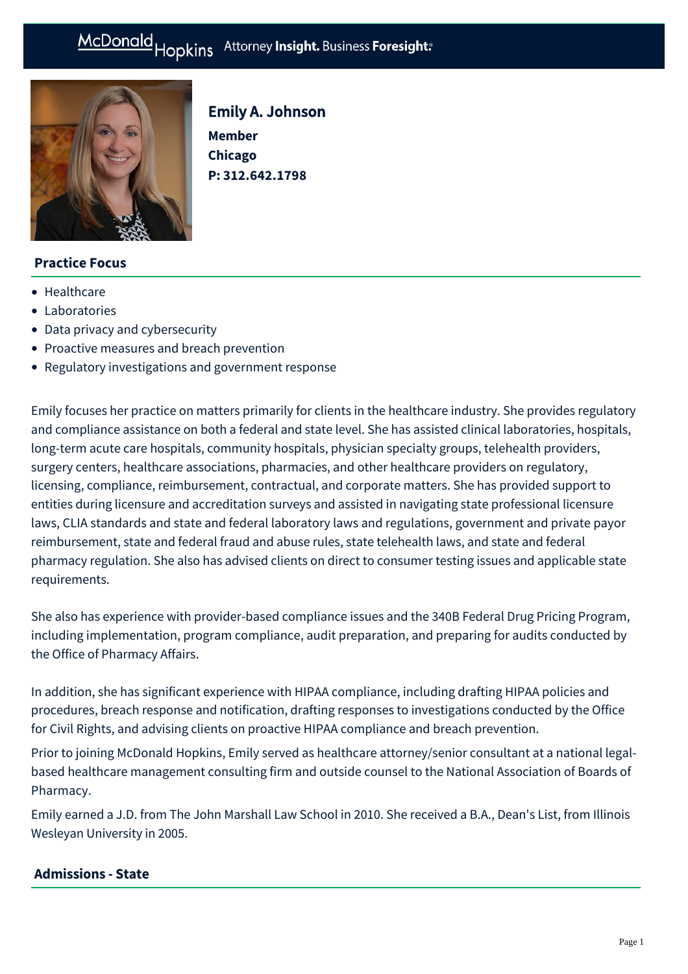# McDonald Hopkins Attorney Insight. Business Foresight:



Emily A. Johnson **Member Chicago P: [312.642.1798](tel:312.642.1798)**

# **Practice Focus**

- [Healthcare](https://mcdonaldhopkins.com/Expertise/Healthcare)
- [Laboratories](https://mcdonaldhopkins.com/Expertise/Healthcare/Laboratories)
- [Data privacy and cybersecurity](https://mcdonaldhopkins.com/Expertise/Data-privacy-and-cybersecurity)
- [Proactive measures and breach prevention](https://mcdonaldhopkins.com/Expertise/Data-privacy-and-cybersecurity/Proactive-measures-and-breach-prevention)
- [Regulatory investigations and government response](https://mcdonaldhopkins.com/Expertise/Data-privacy-and-cybersecurity/Regulatory-investigations-and-government-response)

Emily focuses her practice on matters primarily for clients in the healthcare industry. She provides regulatory and compliance assistance on both a federal and state level. She has assisted clinical laboratories, hospitals, long-term acute care hospitals, community hospitals, physician specialty groups, telehealth providers, surgery centers, healthcare associations, pharmacies, and other healthcare providers on regulatory, licensing, compliance, reimbursement, contractual, and corporate matters. She has provided support to entities during licensure and accreditation surveys and assisted in navigating state professional licensure laws, CLIA standards and state and federal laboratory laws and regulations, government and private payor reimbursement, state and federal fraud and abuse rules, state telehealth laws, and state and federal pharmacy regulation. She also has advised clients on direct to consumer testing issues and applicable state requirements.

She also has experience with provider-based compliance issues and the 340B Federal Drug Pricing Program, including implementation, program compliance, audit preparation, and preparing for audits conducted by the Office of Pharmacy Affairs.

In addition, she has significant experience with HIPAA compliance, including drafting HIPAA policies and procedures, breach response and notification, drafting responses to investigations conducted by the Office for Civil Rights, and advising clients on proactive HIPAA compliance and breach prevention.

Prior to joining McDonald Hopkins, Emily served as healthcare attorney/senior consultant at a national legalbased healthcare management consulting firm and outside counsel to the National Association of Boards of Pharmacy.

Emily earned a J.D. from The John Marshall Law School in 2010. She received a B.A., Dean's List, from Illinois Wesleyan University in 2005.

#### **Admissions - State**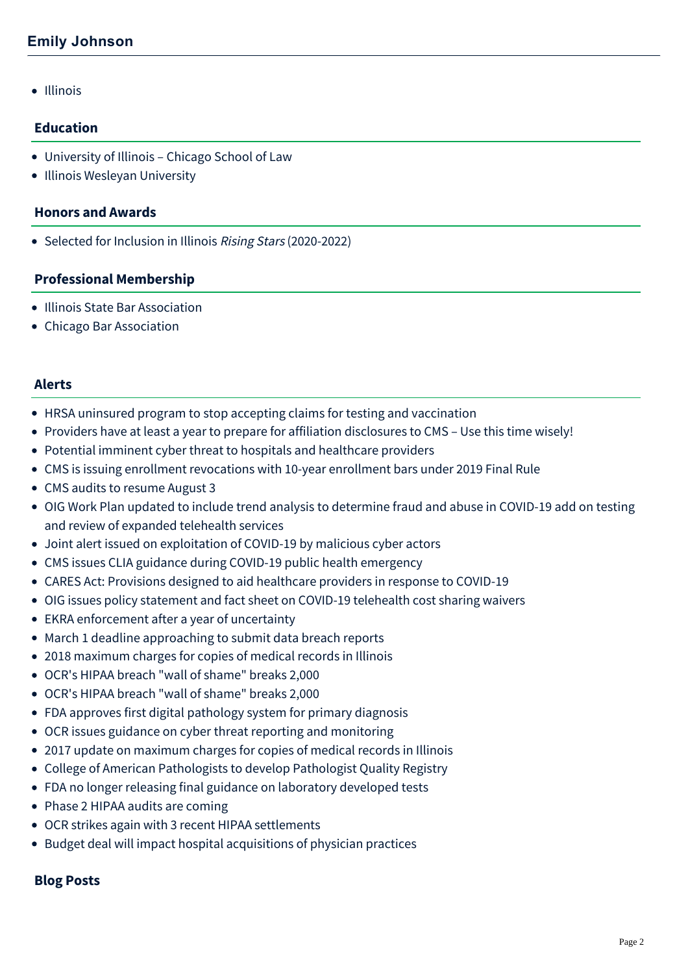• Illinois

## **Education**

- University of Illinois Chicago School of Law
- Illinois Wesleyan University

#### **Honors and Awards**

• Selected for Inclusion in Illinois Rising Stars (2020-2022)

### **Professional Membership**

- Illinois State Bar Association
- Chicago Bar Association

#### **Alerts**

- [HRSA uninsured program to stop accepting claims for testing and vaccination](https://mcdonaldhopkins.com/Insights/March-2022/HRSA-uninsured-program-to-stop-accepting-claims)
- [Providers have at least a year to prepare for affiliation disclosures to CMS Use this time wisely!](https://mcdonaldhopkins.com/Insights/April-2021/Providers-have-at-least-a-year-to-prepare-for-affi)
- [Potential imminent cyber threat to hospitals and healthcare providers](https://mcdonaldhopkins.com/Insights/October-2020/Potential-imminent-threat-to-hospitals-and-healthc)
- [CMS is issuing enrollment revocations with 10-year enrollment bars under 2019 Final Rule](https://mcdonaldhopkins.com/Insights/October-2020/CMS-is-issuing-enrollment-revocations-with-10-year)
- [CMS audits to resume August 3](https://mcdonaldhopkins.com/Insights/July-2020/CMS-audits-to-resume-August-3)
- [OIG Work Plan updated to include trend analysis to determine fraud and abuse in COVID-19 add on testing](https://mcdonaldhopkins.com/Insights/July-2020/OIG-Work-Plan-updated-to-include-trend-analysis-to) and review of expanded telehealth services
- [Joint alert issued on exploitation of COVID-19 by malicious cyber actors](https://mcdonaldhopkins.com/Insights/April-2020/Joint-alert-issued-on-exploitation-of-COVID19-by-m)
- [CMS issues CLIA guidance during COVID-19 public health emergency](https://mcdonaldhopkins.com/Insights/March-2020/CMS-issues-CLIA-guidance-during-COVID-19-public-he)
- [CARES Act: Provisions designed to aid healthcare providers in response to COVID-19](https://mcdonaldhopkins.com/Insights/March-2020/CARES-Act-Provisions-designed-to-help-aid-healthca)
- [OIG issues policy statement and fact sheet on COVID-19 telehealth cost sharing waivers](https://mcdonaldhopkins.com/Insights/March-2020/OIG-issues-policy-statement-and-fact-sheet-re-COVI)
- [EKRA enforcement after a year of uncertainty](https://mcdonaldhopkins.com/Insights/January-2020/EKRA-enforcement-after-a-year-of-uncertainty)
- [March 1 deadline approaching to submit data breach reports](https://mcdonaldhopkins.com/Insights/February-2019/March-1-deadline-approaching-to-submit-data-br-(1))
- [2018 maximum charges for copies of medical records in Illinois](https://mcdonaldhopkins.com/Insights/March-2018/2018-maximum-charges-for-copies-of-medical-records-in-Illinois)
- [OCR's HIPAA breach "wall of shame" breaks 2,000](https://mcdonaldhopkins.com/Insights/August-2017/OCR-s-HIPAA-breach-wall-of-shame-breaks-2,000-(1))
- [OCR's HIPAA breach "wall of shame" breaks 2,000](https://mcdonaldhopkins.com/Insights/August-2017/OCR-s-HIPAA-breach-wall-of-shame-breaks-2,000)
- [FDA approves first digital pathology system for primary diagnosis](https://mcdonaldhopkins.com/Insights/April-2017/FDA-approves-first-digital-pathology-system-for-pr)
- [OCR issues guidance on cyber threat reporting and monitoring](https://mcdonaldhopkins.com/Insights/April-2017/OCR-issues-guidance-on-cyber-threat-reporting-and)
- [2017 update on maximum charges for copies of medical records in Illinois](https://mcdonaldhopkins.com/Insights/April-2017/2017-update-on-maximum-charges-for-copies-of-medic)
- [College of American Pathologists to develop Pathologist Quality Registry](https://mcdonaldhopkins.com/Insights/March-2017/College-of-American-Pathologists-to-develop-Pathol)
- [FDA no longer releasing final guidance on laboratory developed tests](https://mcdonaldhopkins.com/Insights/November-2016/FDA-no-longer-releasing-final-guidance-on-laborato)
- [Phase 2 HIPAA audits are coming](https://mcdonaldhopkins.com/Insights/March-2016/Phase-2-HIPAA-audits-are-coming)
- [OCR strikes again with 3 recent HIPAA settlements](https://mcdonaldhopkins.com/Insights/January-2016/OCR-strikes-again-with-3-recent-HIPAA-settlements)
- [Budget deal will impact hospital acquisitions of physician practices](https://mcdonaldhopkins.com/Insights/November-2015/Budget-deal-will-impact-hospital-acquisitions-of-p)

# **Blog Posts**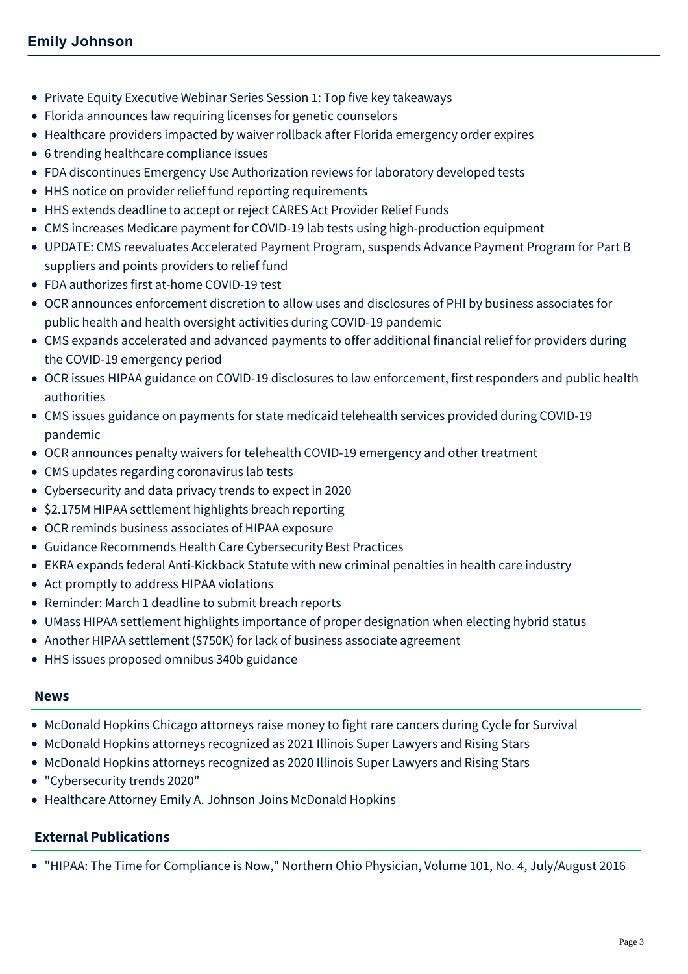- [Private Equity Executive Webinar Series Session 1: Top five key takeaways](https://mcdonaldhopkins.com/Insights/March-2022/Top-5-key-takeaways-Private-Equity-Executive-Webin)
- [Florida announces law requiring licenses for genetic counselors](https://mcdonaldhopkins.com/Insights/September-2021/Florida-announces-law-requiring-licenses-for-genet)
- [Healthcare providers impacted by waiver rollback after Florida emergency order expires](https://mcdonaldhopkins.com/Insights/July-2021/healthcare-providers-impacted-by-waiver-rollback)
- [6 trending healthcare compliance issues](https://mcdonaldhopkins.com/Insights/March-2021/6-trending-healthcare-compliance-issues)
- [FDA discontinues Emergency Use Authorization reviews for laboratory developed tests](https://mcdonaldhopkins.com/Insights/October-2020/FDA-discontinues-Emergency-Use-Authorization-revie)
- [HHS notice on provider relief fund reporting requirements](https://mcdonaldhopkins.com/Insights/July-2020/HHS-notice-on-provider-relief-fund-reporting-requi)
- [HHS extends deadline to accept or reject CARES Act Provider Relief Funds](https://mcdonaldhopkins.com/Insights/May-2020/HHS-extends-deadline-to-accept-or-reject-CARES-Act)
- [CMS increases Medicare payment for COVID-19 lab tests using high-production equipment](https://mcdonaldhopkins.com/Insights/April-2020/CMS-increases-Medicare-payment-for-COVID-19-lab-te)
- [UPDATE: CMS reevaluates Accelerated Payment Program, suspends Advance Payment Program for Part B](https://mcdonaldhopkins.com/Insights/April-2020/UPDATE-CMS-reevaluates-Accelerated-Payment-Program) suppliers and points providers to relief fund
- [FDA authorizes first at-home COVID-19 test](https://mcdonaldhopkins.com/Insights/April-2020/FDA-authorizes-first-at-home-COVID-19-test)
- [OCR announces enforcement discretion to allow uses and disclosures of PHI by business associates for](https://mcdonaldhopkins.com/Insights/April-2020/OCR-announces-enforcement-discretion-to-allow-uses) public health and health oversight activities during COVID-19 pandemic
- [CMS expands accelerated and advanced payments to offer additional financial relief for providers during](https://mcdonaldhopkins.com/Insights/April-2020/CMS-expands-accelerated-and-advanced-payments-to-o) the COVID-19 emergency period
- [OCR issues HIPAA guidance on COVID-19 disclosures to law enforcement, first responders and public health](https://mcdonaldhopkins.com/Insights/March-2020/OCR-issues-HIPAA-guidance-on-COVID-19-disclosures) authorities
- [CMS issues guidance on payments for state medicaid telehealth services provided during COVID-19](https://mcdonaldhopkins.com/Insights/March-2020/CMS-issues-guidance-on-payments-for-state-medicaid) pandemic
- [OCR announces penalty waivers for telehealth COVID-19 emergency and other treatment](https://mcdonaldhopkins.com/Insights/March-2020/OCR-Announces-Penalty-Waivers-for-Telehealth-COVID)
- [CMS updates regarding coronavirus lab tests](https://mcdonaldhopkins.com/Insights/March-2020/CMS-updates-regarding-coronavirus-lab-tests)
- [Cybersecurity and data privacy trends to expect in 2020](https://mcdonaldhopkins.com/Insights/January-2020/Cybersecurity-and-data-privacy-trends-to-expect-in)
- [\\$2.175M HIPAA settlement highlights breach reporting](https://mcdonaldhopkins.com/Insights/December-2019/2175-M-HIPAA-settlement-highlights-breach-reportin)
- [OCR reminds business associates of HIPAA exposure](https://mcdonaldhopkins.com/Insights/June-2019/OCR-reminds-business-associates-of-HIPPA-exposure)
- [Guidance Recommends Health Care Cybersecurity Best Practices](https://mcdonaldhopkins.com/Insights/January-2019/Guidance-Recommends-Health-Care-Cybersecurity-Best)
- [EKRA expands federal Anti-Kickback Statute with new criminal penalties in health care industry](https://mcdonaldhopkins.com/Insights/December-2018/EKRA-expands-federal-Anti-Kickback-Statute-with-ne)
- [Act promptly to address HIPAA violations](https://mcdonaldhopkins.com/Insights/May-2017/Act-promptly-to-address-HIPAA-violations)
- [Reminder: March 1 deadline to submit breach reports](https://mcdonaldhopkins.com/Insights/February-2017/March-1-deadline-to-submit-breach-reports-approach)
- [UMass HIPAA settlement highlights importance of proper designation when electing hybrid status](https://mcdonaldhopkins.com/Insights/December-2016/UMass-HIPAA-settlement-highlights-importance-of-pr)
- [Another HIPAA settlement \(\\$750K\) for lack of business associate agreement](https://mcdonaldhopkins.com/Insights/April-2016/Another-HIPAA-settlement-($750K)-for-lack-of-busin)
- [HHS issues proposed omnibus 340b guidance](https://mcdonaldhopkins.com/Insights/August-2015/HHS-issues-proposed-omnibus-340b-guidance)

#### **News**

- [McDonald Hopkins Chicago attorneys raise money to fight rare cancers during Cycle for Survival](https://mcdonaldhopkins.com/Insights/May-2022/McDonald-Hopkins-Chicago-attorneys-raise-money-to)
- [McDonald Hopkins attorneys recognized as 2021 Illinois Super Lawyers and Rising Stars](https://mcdonaldhopkins.com/Insights/January-2021/McDonald-Hopkins-attorneys-recognized-as-2021-Illi)
- [McDonald Hopkins attorneys recognized as 2020 Illinois Super Lawyers and Rising Stars](https://mcdonaldhopkins.com/Insights/February-2020/McDonald-Hopkins-attorneys-recognized-as-2020-Illi)
- ["Cybersecurity trends 2020"](https://mcdonaldhopkins.com/Insights/January-2020/Cybersecurity-trends-2020)
- [Healthcare Attorney Emily A. Johnson Joins McDonald Hopkins](https://mcdonaldhopkins.com/Insights/May-2015/Healthcare-Attorney-Emily-A-Johnson-Joins-McDonal)

# **External Publications**

"HIPAA: The Time for Compliance is Now," Northern Ohio Physician, Volume 101, No. 4, July/August 2016